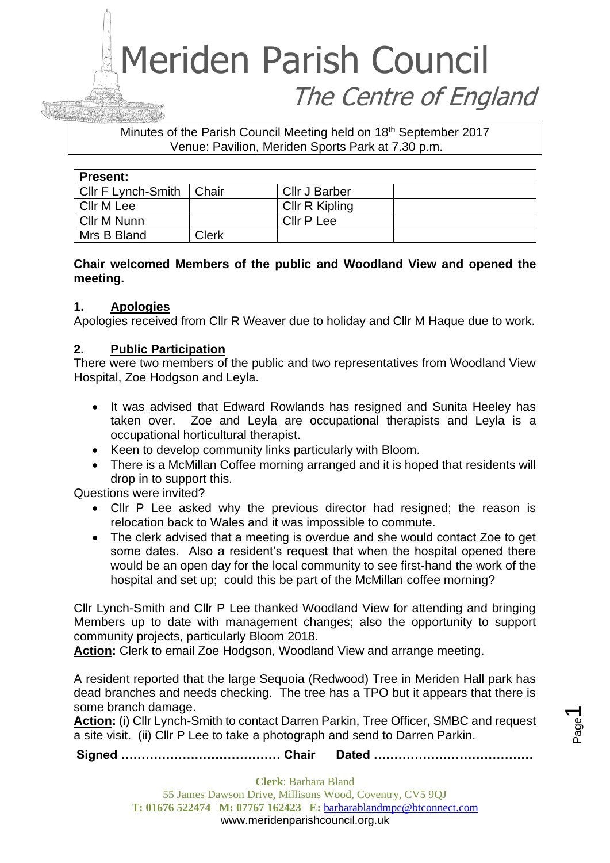# Meriden Parish Council The Centre of England

Minutes of the Parish Council Meeting held on 18<sup>th</sup> September 2017 Venue: Pavilion, Meriden Sports Park at 7.30 p.m.

| <b>Present:</b>    |        |                |  |
|--------------------|--------|----------------|--|
| Cllr F Lynch-Smith | ⊩Chair | Cllr J Barber  |  |
| Cllr M Lee         |        | Cllr R Kipling |  |
| Cllr M Nunn        |        | Cllr P Lee     |  |
| Mrs B Bland        | Clerk  |                |  |

# **Chair welcomed Members of the public and Woodland View and opened the meeting.**

# **1. Apologies**

Apologies received from Cllr R Weaver due to holiday and Cllr M Haque due to work.

# **2. Public Participation**

There were two members of the public and two representatives from Woodland View Hospital, Zoe Hodgson and Leyla.

- It was advised that Edward Rowlands has resigned and Sunita Heeley has taken over. Zoe and Leyla are occupational therapists and Leyla is a occupational horticultural therapist.
- Keen to develop community links particularly with Bloom.
- There is a McMillan Coffee morning arranged and it is hoped that residents will drop in to support this.

Questions were invited?

- Cllr P Lee asked why the previous director had resigned; the reason is relocation back to Wales and it was impossible to commute.
- The clerk advised that a meeting is overdue and she would contact Zoe to get some dates. Also a resident's request that when the hospital opened there would be an open day for the local community to see first-hand the work of the hospital and set up; could this be part of the McMillan coffee morning?

Cllr Lynch-Smith and Cllr P Lee thanked Woodland View for attending and bringing Members up to date with management changes; also the opportunity to support community projects, particularly Bloom 2018.

**Action:** Clerk to email Zoe Hodgson, Woodland View and arrange meeting.

A resident reported that the large Sequoia (Redwood) Tree in Meriden Hall park has dead branches and needs checking. The tree has a TPO but it appears that there is some branch damage.

**Action:** (i) Cllr Lynch-Smith to contact Darren Parkin, Tree Officer, SMBC and request a site visit. (ii) Cllr P Lee to take a photograph and send to Darren Parkin.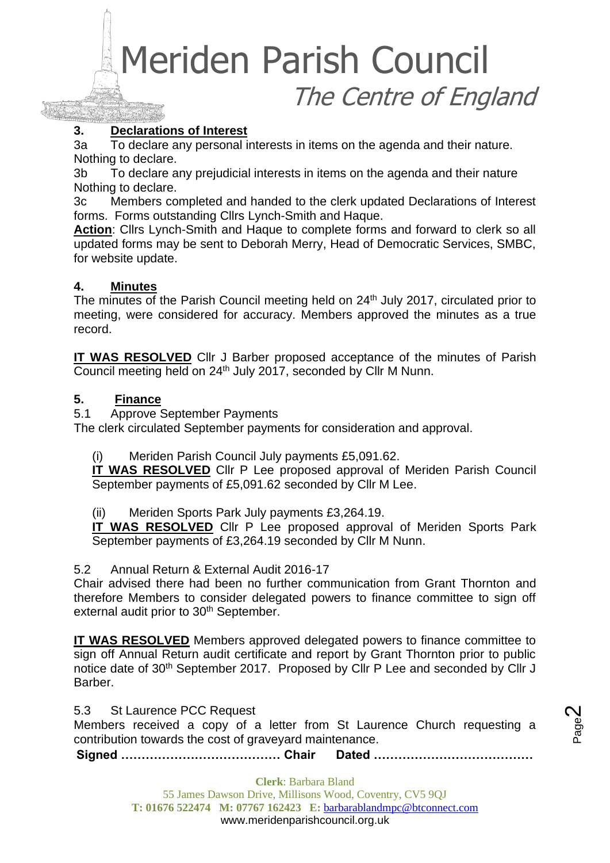Meriden Parish Council The Centre of England

## **3. Declarations of Interest**

3a To declare any personal interests in items on the agenda and their nature. Nothing to declare.

3b To declare any prejudicial interests in items on the agenda and their nature Nothing to declare.

3c Members completed and handed to the clerk updated Declarations of Interest forms. Forms outstanding Cllrs Lynch-Smith and Haque.

**Action**: Cllrs Lynch-Smith and Haque to complete forms and forward to clerk so all updated forms may be sent to Deborah Merry, Head of Democratic Services, SMBC, for website update.

#### **4. Minutes**

The minutes of the Parish Council meeting held on 24<sup>th</sup> July 2017, circulated prior to meeting, were considered for accuracy. Members approved the minutes as a true record.

**IT WAS RESOLVED** Cllr J Barber proposed acceptance of the minutes of Parish Council meeting held on 24<sup>th</sup> July 2017, seconded by Cllr M Nunn.

#### **5. Finance**

5.1 Approve September Payments

The clerk circulated September payments for consideration and approval.

(i) Meriden Parish Council July payments £5,091.62.

**IT WAS RESOLVED** Cllr P Lee proposed approval of Meriden Parish Council September payments of £5,091.62 seconded by Cllr M Lee.

(ii) Meriden Sports Park July payments £3,264.19.

**IT WAS RESOLVED** Cllr P Lee proposed approval of Meriden Sports Park September payments of £3,264.19 seconded by Cllr M Nunn.

5.2 Annual Return & External Audit 2016-17

Chair advised there had been no further communication from Grant Thornton and therefore Members to consider delegated powers to finance committee to sign off external audit prior to 30<sup>th</sup> September.

**IT WAS RESOLVED** Members approved delegated powers to finance committee to sign off Annual Return audit certificate and report by Grant Thornton prior to public notice date of 30<sup>th</sup> September 2017. Proposed by Cllr P Lee and seconded by Cllr J Barber.

5.3 St Laurence PCC Request

Members received a copy of a letter from St Laurence Church requesting a contribution towards the cost of graveyard maintenance.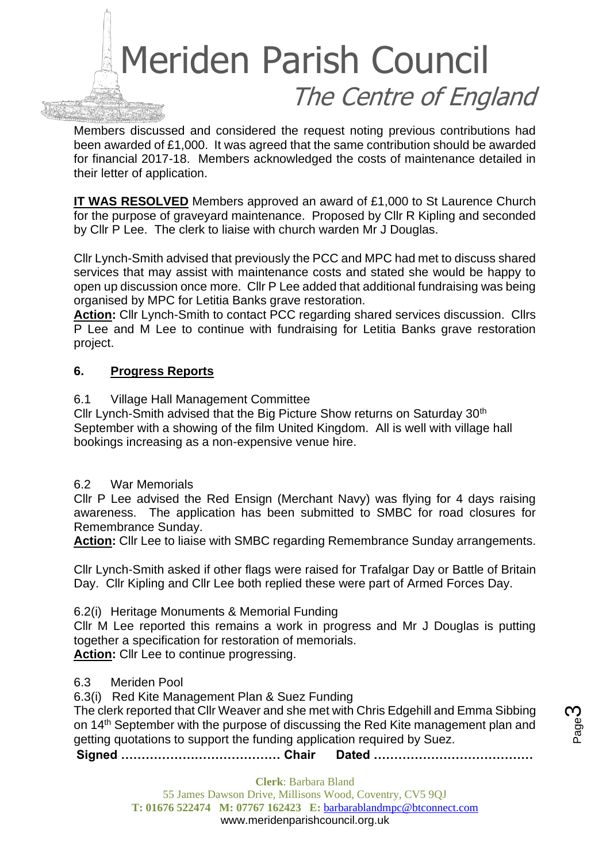

Members discussed and considered the request noting previous contributions had been awarded of £1,000. It was agreed that the same contribution should be awarded for financial 2017-18. Members acknowledged the costs of maintenance detailed in their letter of application.

**IT WAS RESOLVED** Members approved an award of £1,000 to St Laurence Church for the purpose of graveyard maintenance. Proposed by Cllr R Kipling and seconded by Cllr P Lee. The clerk to liaise with church warden Mr J Douglas.

Cllr Lynch-Smith advised that previously the PCC and MPC had met to discuss shared services that may assist with maintenance costs and stated she would be happy to open up discussion once more. Cllr P Lee added that additional fundraising was being organised by MPC for Letitia Banks grave restoration.

**Action:** Cllr Lynch-Smith to contact PCC regarding shared services discussion. Cllrs P Lee and M Lee to continue with fundraising for Letitia Banks grave restoration project.

### **6. Progress Reports**

6.1 Village Hall Management Committee

Cllr Lynch-Smith advised that the Big Picture Show returns on Saturday 30<sup>th</sup> September with a showing of the film United Kingdom. All is well with village hall bookings increasing as a non-expensive venue hire.

6.2 War Memorials

Cllr P Lee advised the Red Ensign (Merchant Navy) was flying for 4 days raising awareness. The application has been submitted to SMBC for road closures for Remembrance Sunday.

**Action:** Cllr Lee to liaise with SMBC regarding Remembrance Sunday arrangements.

Cllr Lynch-Smith asked if other flags were raised for Trafalgar Day or Battle of Britain Day. Cllr Kipling and Cllr Lee both replied these were part of Armed Forces Day.

6.2(i) Heritage Monuments & Memorial Funding

Cllr M Lee reported this remains a work in progress and Mr J Douglas is putting together a specification for restoration of memorials.

**Action:** Cllr Lee to continue progressing.

#### 6.3 Meriden Pool

6.3(i) Red Kite Management Plan & Suez Funding

The clerk reported that Cllr Weaver and she met with Chris Edgehill and Emma Sibbing on 14th September with the purpose of discussing the Red Kite management plan and getting quotations to support the funding application required by Suez.

**Signed ………………………………… Chair Dated …………………………………**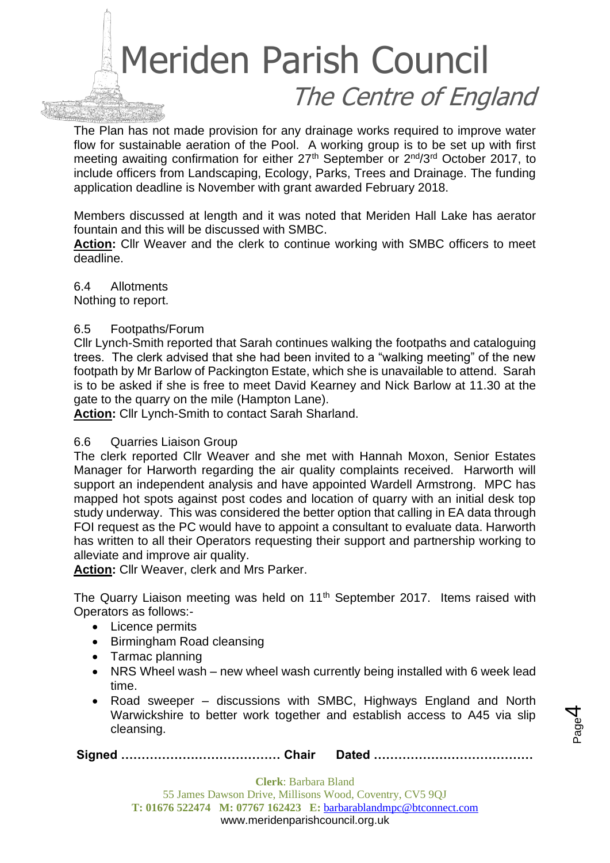

The Plan has not made provision for any drainage works required to improve water flow for sustainable aeration of the Pool. A working group is to be set up with first meeting awaiting confirmation for either 27<sup>th</sup> September or 2<sup>nd</sup>/3<sup>rd</sup> October 2017, to include officers from Landscaping, Ecology, Parks, Trees and Drainage. The funding application deadline is November with grant awarded February 2018.

Members discussed at length and it was noted that Meriden Hall Lake has aerator fountain and this will be discussed with SMBC.

**Action:** Cllr Weaver and the clerk to continue working with SMBC officers to meet deadline.

6.4 Allotments

Nothing to report.

### 6.5 Footpaths/Forum

Cllr Lynch-Smith reported that Sarah continues walking the footpaths and cataloguing trees. The clerk advised that she had been invited to a "walking meeting" of the new footpath by Mr Barlow of Packington Estate, which she is unavailable to attend. Sarah is to be asked if she is free to meet David Kearney and Nick Barlow at 11.30 at the gate to the quarry on the mile (Hampton Lane).

**Action:** Cllr Lynch-Smith to contact Sarah Sharland.

# 6.6 Quarries Liaison Group

The clerk reported Cllr Weaver and she met with Hannah Moxon, Senior Estates Manager for Harworth regarding the air quality complaints received. Harworth will support an independent analysis and have appointed Wardell Armstrong. MPC has mapped hot spots against post codes and location of quarry with an initial desk top study underway. This was considered the better option that calling in EA data through FOI request as the PC would have to appoint a consultant to evaluate data. Harworth has written to all their Operators requesting their support and partnership working to alleviate and improve air quality.

**Action:** Cllr Weaver, clerk and Mrs Parker.

The Quarry Liaison meeting was held on  $11<sup>th</sup>$  September 2017. Items raised with Operators as follows:-

- Licence permits
- Birmingham Road cleansing
- Tarmac planning
- NRS Wheel wash new wheel wash currently being installed with 6 week lead time.
- Road sweeper discussions with SMBC, Highways England and North Warwickshire to better work together and establish access to A45 via slip cleansing.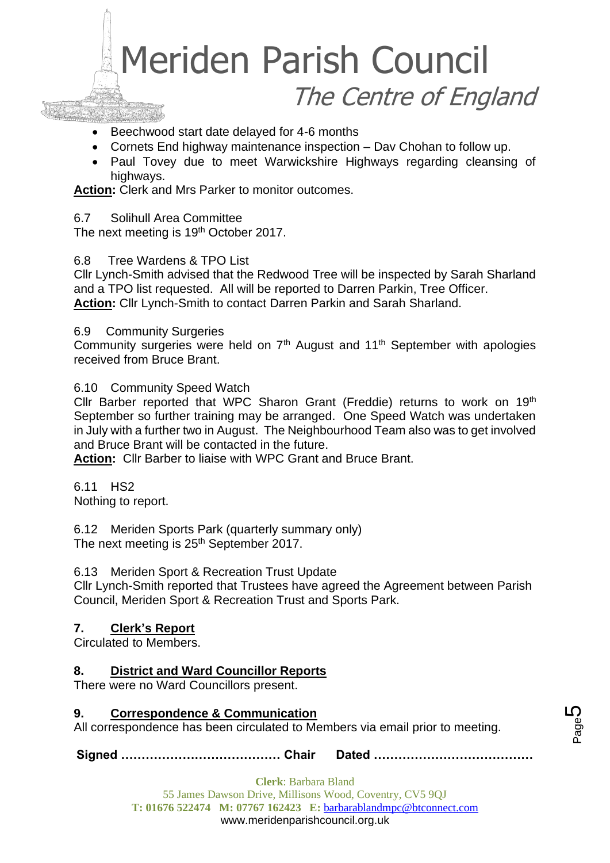

- Beechwood start date delayed for 4-6 months
- Cornets End highway maintenance inspection Dav Chohan to follow up.
- Paul Tovey due to meet Warwickshire Highways regarding cleansing of highways.

**Action:** Clerk and Mrs Parker to monitor outcomes.

6.7 Solihull Area Committee

The next meeting is 19<sup>th</sup> October 2017.

### 6.8 Tree Wardens & TPO List

Cllr Lynch-Smith advised that the Redwood Tree will be inspected by Sarah Sharland and a TPO list requested. All will be reported to Darren Parkin, Tree Officer. **Action:** Cllr Lynch-Smith to contact Darren Parkin and Sarah Sharland.

#### 6.9 Community Surgeries

Community surgeries were held on 7<sup>th</sup> August and 11<sup>th</sup> September with apologies received from Bruce Brant.

### 6.10 Community Speed Watch

Cllr Barber reported that WPC Sharon Grant (Freddie) returns to work on 19th September so further training may be arranged. One Speed Watch was undertaken in July with a further two in August. The Neighbourhood Team also was to get involved and Bruce Brant will be contacted in the future.

**Action:** Cllr Barber to liaise with WPC Grant and Bruce Brant.

6.11 HS2 Nothing to report.

6.12 Meriden Sports Park (quarterly summary only) The next meeting is 25<sup>th</sup> September 2017.

6.13 Meriden Sport & Recreation Trust Update

Cllr Lynch-Smith reported that Trustees have agreed the Agreement between Parish Council, Meriden Sport & Recreation Trust and Sports Park.

# **7. Clerk's Report**

Circulated to Members.

# **8. District and Ward Councillor Reports**

There were no Ward Councillors present.

# **9. Correspondence & Communication**

All correspondence has been circulated to Members via email prior to meeting.

**Signed ………………………………… Chair Dated …………………………………**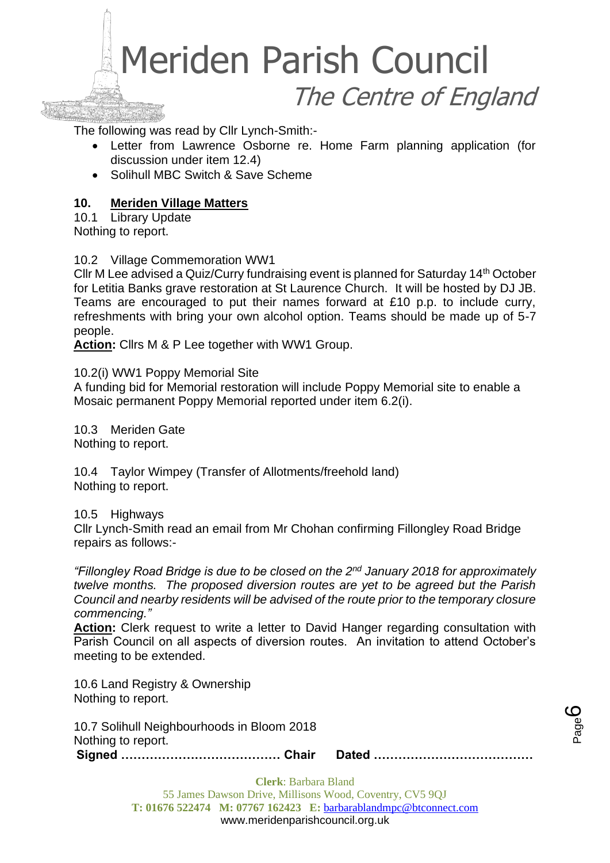

The following was read by Cllr Lynch-Smith:-

- Letter from Lawrence Osborne re. Home Farm planning application (for discussion under item 12.4)
- Solihull MBC Switch & Save Scheme

### **10. Meriden Village Matters**

10.1 Library Update Nothing to report.

#### 10.2 Village Commemoration WW1

Cllr M Lee advised a Quiz/Curry fundraising event is planned for Saturday 14th October for Letitia Banks grave restoration at St Laurence Church. It will be hosted by DJ JB. Teams are encouraged to put their names forward at £10 p.p. to include curry, refreshments with bring your own alcohol option. Teams should be made up of 5-7 people.

**Action:** Cllrs M & P Lee together with WW1 Group.

10.2(i) WW1 Poppy Memorial Site

A funding bid for Memorial restoration will include Poppy Memorial site to enable a Mosaic permanent Poppy Memorial reported under item 6.2(i).

10.3 Meriden Gate Nothing to report.

10.4 Taylor Wimpey (Transfer of Allotments/freehold land) Nothing to report.

10.5 Highways

Cllr Lynch-Smith read an email from Mr Chohan confirming Fillongley Road Bridge repairs as follows:-

*"Fillongley Road Bridge is due to be closed on the 2nd January 2018 for approximately twelve months. The proposed diversion routes are yet to be agreed but the Parish Council and nearby residents will be advised of the route prior to the temporary closure commencing."*

**Action:** Clerk request to write a letter to David Hanger regarding consultation with Parish Council on all aspects of diversion routes. An invitation to attend October's meeting to be extended.

10.6 Land Registry & Ownership Nothing to report.

**Signed ………………………………… Chair Dated …………………………………** 10.7 Solihull Neighbourhoods in Bloom 2018 Nothing to report.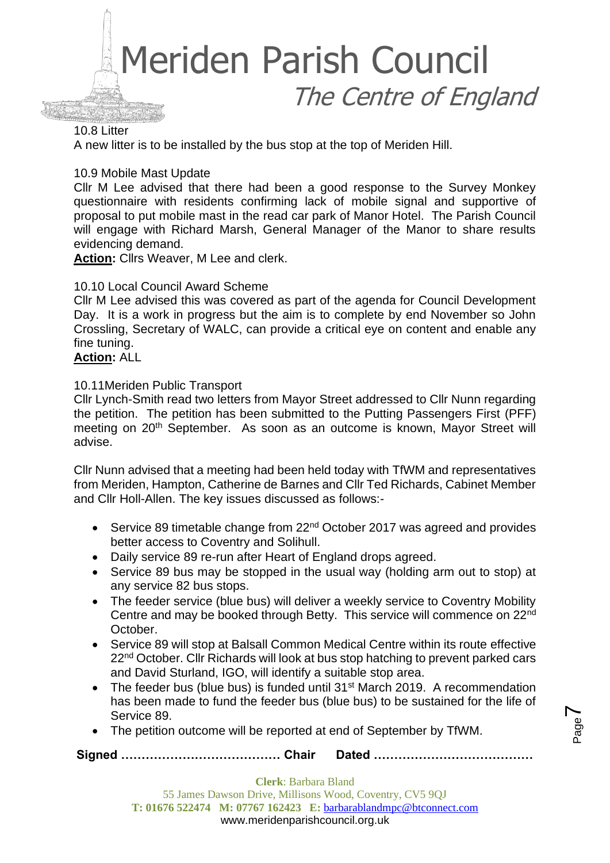

#### 10.8 Litter

A new litter is to be installed by the bus stop at the top of Meriden Hill.

#### 10.9 Mobile Mast Update

Cllr M Lee advised that there had been a good response to the Survey Monkey questionnaire with residents confirming lack of mobile signal and supportive of proposal to put mobile mast in the read car park of Manor Hotel. The Parish Council will engage with Richard Marsh, General Manager of the Manor to share results evidencing demand.

**Action:** Cllrs Weaver, M Lee and clerk.

#### 10.10 Local Council Award Scheme

Cllr M Lee advised this was covered as part of the agenda for Council Development Day. It is a work in progress but the aim is to complete by end November so John Crossling, Secretary of WALC, can provide a critical eye on content and enable any fine tuning.

#### **Action:** ALL

#### 10.11Meriden Public Transport

Cllr Lynch-Smith read two letters from Mayor Street addressed to Cllr Nunn regarding the petition. The petition has been submitted to the Putting Passengers First (PFF) meeting on 20<sup>th</sup> September. As soon as an outcome is known, Mayor Street will advise.

Cllr Nunn advised that a meeting had been held today with TfWM and representatives from Meriden, Hampton, Catherine de Barnes and Cllr Ted Richards, Cabinet Member and Cllr Holl-Allen. The key issues discussed as follows:-

- Service 89 timetable change from  $22<sup>nd</sup>$  October 2017 was agreed and provides better access to Coventry and Solihull.
- Daily service 89 re-run after Heart of England drops agreed.
- Service 89 bus may be stopped in the usual way (holding arm out to stop) at any service 82 bus stops.
- The feeder service (blue bus) will deliver a weekly service to Coventry Mobility Centre and may be booked through Betty. This service will commence on 22nd October.
- Service 89 will stop at Balsall Common Medical Centre within its route effective 22<sup>nd</sup> October. Cllr Richards will look at bus stop hatching to prevent parked cars and David Sturland, IGO, will identify a suitable stop area.
- The feeder bus (blue bus) is funded until 31<sup>st</sup> March 2019. A recommendation has been made to fund the feeder bus (blue bus) to be sustained for the life of Service 89.
- The petition outcome will be reported at end of September by TfWM.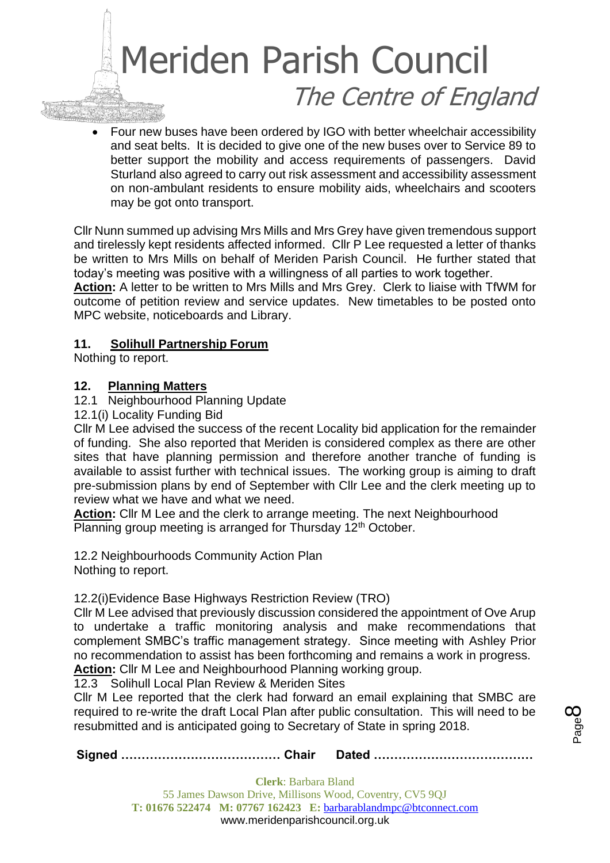# Meriden Parish Council The Centre of England

• Four new buses have been ordered by IGO with better wheelchair accessibility and seat belts. It is decided to give one of the new buses over to Service 89 to better support the mobility and access requirements of passengers. David Sturland also agreed to carry out risk assessment and accessibility assessment on non-ambulant residents to ensure mobility aids, wheelchairs and scooters may be got onto transport.

Cllr Nunn summed up advising Mrs Mills and Mrs Grey have given tremendous support and tirelessly kept residents affected informed. Cllr P Lee requested a letter of thanks be written to Mrs Mills on behalf of Meriden Parish Council. He further stated that today's meeting was positive with a willingness of all parties to work together.

**Action:** A letter to be written to Mrs Mills and Mrs Grey. Clerk to liaise with TfWM for outcome of petition review and service updates. New timetables to be posted onto MPC website, noticeboards and Library.

# **11. Solihull Partnership Forum**

Nothing to report.

# **12. Planning Matters**

## 12.1 Neighbourhood Planning Update

12.1(i) Locality Funding Bid

Cllr M Lee advised the success of the recent Locality bid application for the remainder of funding. She also reported that Meriden is considered complex as there are other sites that have planning permission and therefore another tranche of funding is available to assist further with technical issues. The working group is aiming to draft pre-submission plans by end of September with Cllr Lee and the clerk meeting up to review what we have and what we need.

**Action:** Cllr M Lee and the clerk to arrange meeting. The next Neighbourhood Planning group meeting is arranged for Thursday 12<sup>th</sup> October.

12.2 Neighbourhoods Community Action Plan Nothing to report.

# 12.2(i)Evidence Base Highways Restriction Review (TRO)

Cllr M Lee advised that previously discussion considered the appointment of Ove Arup to undertake a traffic monitoring analysis and make recommendations that complement SMBC's traffic management strategy. Since meeting with Ashley Prior no recommendation to assist has been forthcoming and remains a work in progress. **Action:** Cllr M Lee and Neighbourhood Planning working group.

12.3 Solihull Local Plan Review & Meriden Sites

Cllr M Lee reported that the clerk had forward an email explaining that SMBC are required to re-write the draft Local Plan after public consultation. This will need to be resubmitted and is anticipated going to Secretary of State in spring 2018.

**Signed ………………………………… Chair Dated …………………………………**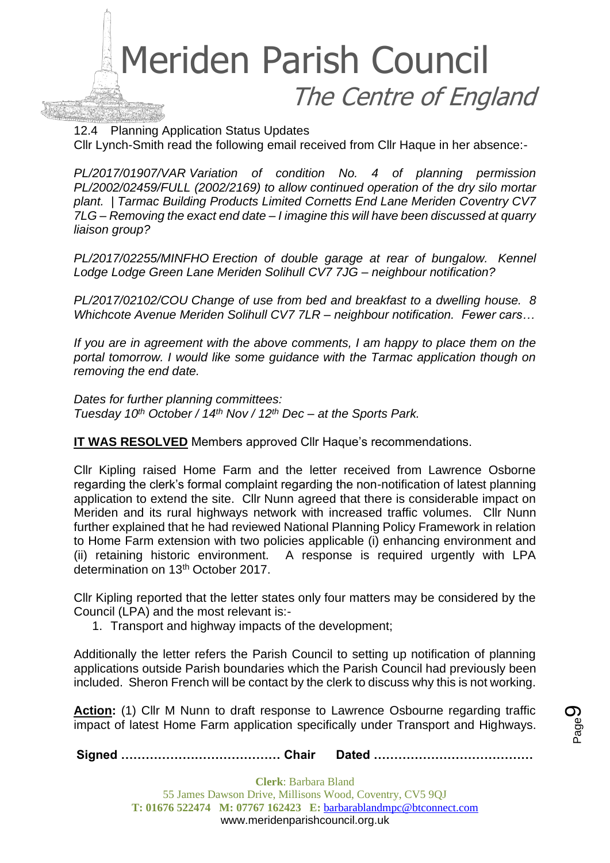

12.4 Planning Application Status Updates

Cllr Lynch-Smith read the following email received from Cllr Haque in her absence:-

*PL/2017/01907/VAR Variation of condition No. 4 of planning permission PL/2002/02459/FULL (2002/2169) to allow continued operation of the dry silo mortar plant. | Tarmac Building Products Limited Cornetts End Lane Meriden Coventry CV7 7LG – Removing the exact end date – I imagine this will have been discussed at quarry liaison group?*

*PL/2017/02255/MINFHO Erection of double garage at rear of bungalow. Kennel Lodge Lodge Green Lane Meriden Solihull CV7 7JG – neighbour notification?*

*PL/2017/02102/COU Change of use from bed and breakfast to a dwelling house. 8 Whichcote Avenue Meriden Solihull CV7 7LR – neighbour notification. Fewer cars…*

*If you are in agreement with the above comments, I am happy to place them on the portal tomorrow. I would like some guidance with the Tarmac application though on removing the end date.*

*Dates for further planning committees: Tuesday 10th October / 14th Nov / 12th Dec – at the Sports Park.*

**IT WAS RESOLVED** Members approved Cllr Haque's recommendations.

Cllr Kipling raised Home Farm and the letter received from Lawrence Osborne regarding the clerk's formal complaint regarding the non-notification of latest planning application to extend the site. Cllr Nunn agreed that there is considerable impact on Meriden and its rural highways network with increased traffic volumes. Cllr Nunn further explained that he had reviewed National Planning Policy Framework in relation to Home Farm extension with two policies applicable (i) enhancing environment and (ii) retaining historic environment. A response is required urgently with LPA determination on 13th October 2017.

Cllr Kipling reported that the letter states only four matters may be considered by the Council (LPA) and the most relevant is:-

1. Transport and highway impacts of the development;

Additionally the letter refers the Parish Council to setting up notification of planning applications outside Parish boundaries which the Parish Council had previously been included. Sheron French will be contact by the clerk to discuss why this is not working.

Action: (1) Cllr M Nunn to draft response to Lawrence Osbourne regarding traffic impact of latest Home Farm application specifically under Transport and Highways.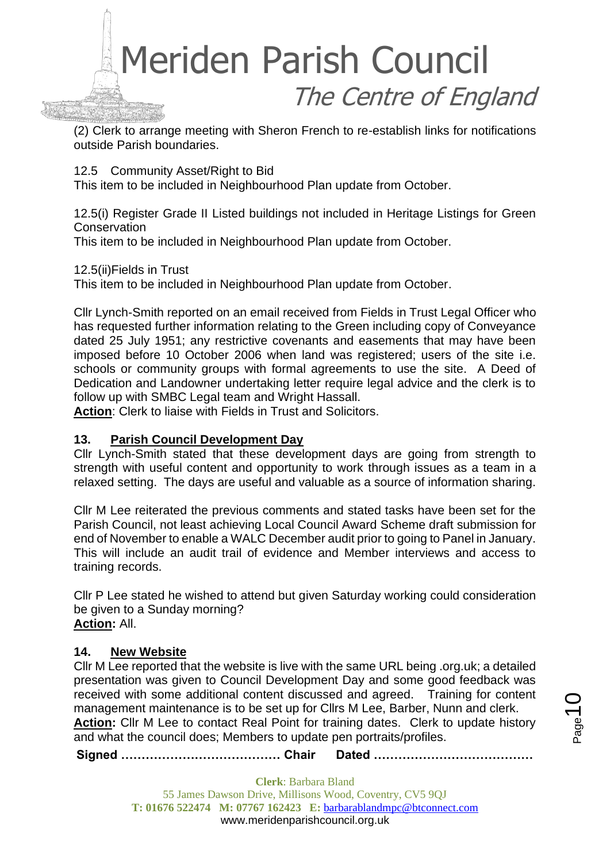

(2) Clerk to arrange meeting with Sheron French to re-establish links for notifications outside Parish boundaries.

12.5 Community Asset/Right to Bid

This item to be included in Neighbourhood Plan update from October.

12.5(i) Register Grade II Listed buildings not included in Heritage Listings for Green **Conservation** 

This item to be included in Neighbourhood Plan update from October.

12.5(ii)Fields in Trust

This item to be included in Neighbourhood Plan update from October.

Cllr Lynch-Smith reported on an email received from Fields in Trust Legal Officer who has requested further information relating to the Green including copy of Conveyance dated 25 July 1951; any restrictive covenants and easements that may have been imposed before 10 October 2006 when land was registered; users of the site i.e. schools or community groups with formal agreements to use the site. A Deed of Dedication and Landowner undertaking letter require legal advice and the clerk is to follow up with SMBC Legal team and Wright Hassall.

**Action**: Clerk to liaise with Fields in Trust and Solicitors.

# **13. Parish Council Development Day**

Cllr Lynch-Smith stated that these development days are going from strength to strength with useful content and opportunity to work through issues as a team in a relaxed setting. The days are useful and valuable as a source of information sharing.

Cllr M Lee reiterated the previous comments and stated tasks have been set for the Parish Council, not least achieving Local Council Award Scheme draft submission for end of November to enable a WALC December audit prior to going to Panel in January. This will include an audit trail of evidence and Member interviews and access to training records.

Cllr P Lee stated he wished to attend but given Saturday working could consideration be given to a Sunday morning? **Action:** All.

#### **14. New Website**

Cllr M Lee reported that the website is live with the same URL being .org.uk; a detailed presentation was given to Council Development Day and some good feedback was received with some additional content discussed and agreed. Training for content management maintenance is to be set up for Cllrs M Lee, Barber, Nunn and clerk. **Action:** Cllr M Lee to contact Real Point for training dates. Clerk to update history and what the council does; Members to update pen portraits/profiles.

**Signed ………………………………… Chair Dated …………………………………**